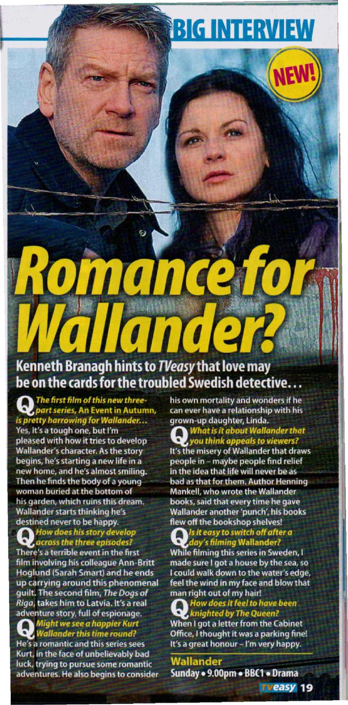# **BIG INTERVIEW**

# oman **Olit!**

## Kenneth Branagh hints to TVeasy that love may be on the cards for the troubled Swedish detective...

The first film of this new threepart series, An Event in Autumn, is pretty harrowing for Wallander...

Yes, it's a tough one, but I'm pleased with how it tries to develop **Wallander's character. As the story** begins, he's starting a new life in a new home, and he's almost smiling. Then he finds the body of a young woman buried at the bottom of his garden, which ruins this dream. Wallander starts thinking he's destined never to be happy.

How does his story develop<br>across the three episodes?

There's a terrible event in the first film involving his colleague Ann-Britt Hoglund (Sarah Smart) and he ends up carrying around this phenomenal guilt. The second film, The Dogs of Riga, takes him to Latvia. It's a real adventure story, full of espionage.

Might we see a happier Kurt **Wallander this time round?** He's a romantic and this series sees

Kurt, in the face of unbelievably bad luck, trying to pursue some romantic adventures. He also begins to consider his own mortality and wonders if he can ever have a relationship with his grown-up daughter, Linda.

**What is it about Wallander that** you think appeals to viewers?

It's the misery of Wallander that draws people in - maybe people find relief in the idea that life will never be as bad as that for them. Author Henning **Mankell, who wrote the Wallander** books, said that every time he gave Wallander another 'punch', his books flew off the bookshop shelves!

Is it easy to switch off after a<br>day's filming Wallander? While filming this series in Sweden, I

made sure I got a house by the sea, so I could walk down to the water's edge, feel the wind in my face and blow that man right out of my hair!

How does it feel to have been knighted by The Queen? When I got a letter from the Cabinet Office, I thought it was a parking fine! It's a great honour - I'm very happy.

**Wallander** Sunday . 9.00pm . BBC1 . Drama

**TVeasy 19**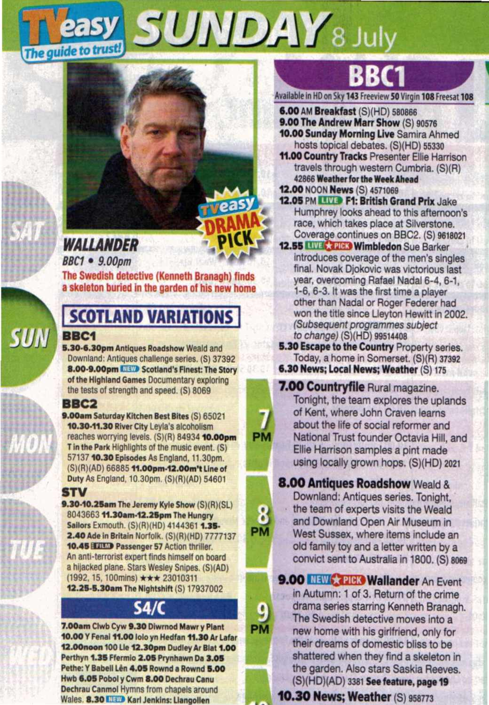

eas

**PM** 

Δ PM

**PM** 



*BBC1 • 9.00pm*

The Swedish detective (Kenneth Branagh) finds a skeleton buried in the garden of his new home

### **SCOTLAND VARIATIONS BBC1**

**5.30-6.30pm Antiques Roadshow Weald and** Downland: Antiques challenge series. (S) 37392 8.00-9.00pm IIIIID Scotland's Finest: The Story of the Highland Games Documentary exploring the tests of strength and speed. (5) 8069

### BBC2

**SUN** 

9.00am Saturday Kitchen Best Bites (S) 65021 10.30-11.30 River City Leyla's alcoholism reaches worrying levels. (S)(R) 84934 10.00pm T in the Park Highlights of the music event. (S) 57137 **10.30 Episodes As England. 11.30pm.** (S)(R)(AD) 6688511.00pm-12.00m't Line of Duty As England, 10.30pm. (S)(R)(AD) 54601

### STV

9.30-10.25am The Jeremy Kyle Show (S)(R)(SL) 8043663 11.30am-12.25pm The Hungry Sailors Exmouth. (S)(R)(HD) 4144361 1.35-2.40 Ade in Britain Norfolk. (S)(R)(HD) 7777137 10.45 **HILLID** Passenger 57 Action thriller. An anti-terrorist expert finds himself on board a hijacked plane. Stars Wesley Snipes. (S)(AD) (1992. IS, 100mlns) \*\*\* <sup>23010311</sup> 12.25-5.30am The Nightshift (S) 17937002

### 54/(

7.00am Clwb Cyw 9.30 Diwrnod Mawr y Plant 10.00 Y Fenal 11.00 lolo yn Hedfan 11.30 Ar Lafar 12.00noon 100 Lie 12.30pm Dudley Ar Blat 1.00 Perthyn 1.35 Ffermio 2.05 Prynhawn Da 3.05 Pethe: Y Babell Lên 4.05 Rownd a Rownd 5.00 Hwb 6.05 Pobol y Cwm 8.00 Dechrau Canu Dechrau Canmol Hymns from chapels around Wales. 8.30 **1.IEW** Karl Jenkins: Llangollen

# **BBCl**

Available in HD on Sky 143 Freeview 50 Virgin 108 Freesat 108

6.00 AM Breakfast (S)(HD) 580866 9.00 The Andrew Marr Show (S) 90576 10.00 Sunday Morning Live Samira Ahmed hosts topical debates. (S)(HD) 55330

11.00 Country Tracks Presenter Ellie Harrison travels through westem Cumbria. (S)(R) 42866 Weather for the Week Ahead

- 12.00 NOON News (S) 4571069
- 12.05 PM **IIID F1: British Grand Prix** Jake Humphrey looks ahead to this aftemoon's race, which takes place at Silverstone. Coverage continues on BBC2. (S) 9618021
- 12.55 **Will Carl Wimbledon** Sue Barker Introduces coverage of the men's singles final. Novak Diokovic was victorious last year, overcoming Rafael Nadal 6-4, 6-1, 1-6, 6-3. It was the first time a player other than Nadal or Roger Federer had won the title since Lleyton Hewitt in 2002. *(Subsequent programmes subject to change*) (S)(HD) 99514408
- **5.30 Escape to the Country Property series.** Today, a home in Somerset. (S)(R) 37392
- 6.30 News; Local News; Weather (S) 175

7.00 Countryflle Rural magazine. Tonight, the team explores the uplands of Kent, where John Craven learns about the life of social reformer and National Trust founder Octavia Hili, and Ellie Harrison samples a pint made using locally grown hops. (S)(HD) 2021

### **8.00 Antiques Roadshow Weald &**

Downland: Antiques series. Tonight, the team of experts visits the Weald and Downland Open Air Museum in West Sussex, where items include an old family toy and a letter written by a convict sent to Australia in 1800. (S) 8069

### 9.00 NEW **\* PICK Wallander** An Event

in Autumn: 1 of 3. Return of the crime drama series starring Kenneth Branagh. The Swedish detective moves into a new home with his girlfriend, only for their dreams of domestic bliss to be shattered when they find a skeleton in the garden. Also stars Saskla Reeves. (S)(HD)(AD) 3381 See feature, page 19

10.30 News; Weather (S) <sup>953773</sup>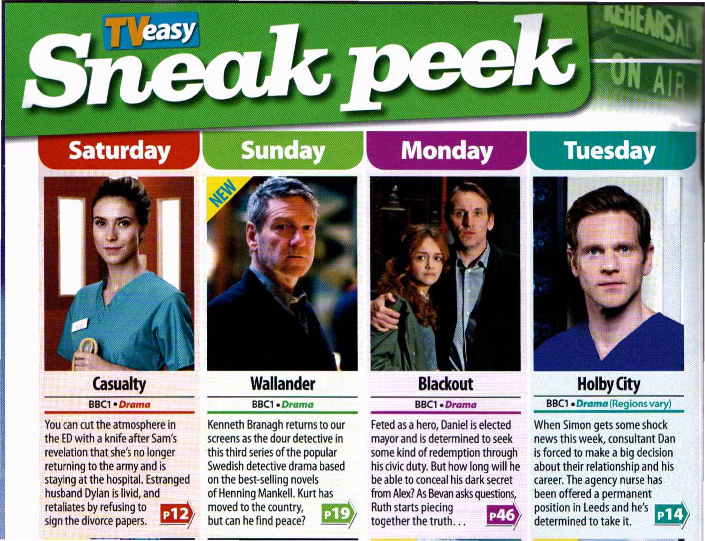# Sheuk peek

# **Saturday**



### **Casualty** BBC1 · Drama

You can cut the atmosphere in the EDwith a knife after Sam's revelation that she's no longer returning to the army and is staying at the hospital. Estranged husband Dylan is livid, and retaliates by refusing to **2008** 



# **Sunday**



### **Wallander**

### BBC1 . Drama

Kenneth Branagh returns to our screens as the dour detective in this third series of the popular Swedish detective drama based on the best-seiling novels of Henning Mankell. Kurt has moved to the country, but can he find peace?



**Monday**

### **Blackout**

### **BBC1** · Drama

Feted as a hero, Daniel is elected mayor and is determined to seek some kind of redemption through his civic duty. But how long will he be able to conceal his dark secret from Alex? As Bevan asks questions, Ruth starts piecing together the truth...



# **Tuesday**



### **Holby City** BBel • *Drama* (Regions vary)

When Simon gets some shock news this week, consultant Dan is forced to make a big decision about their relationship and his career. The agency nurse has been offered a permanent position in Leeds and he's ~ determined to take it.